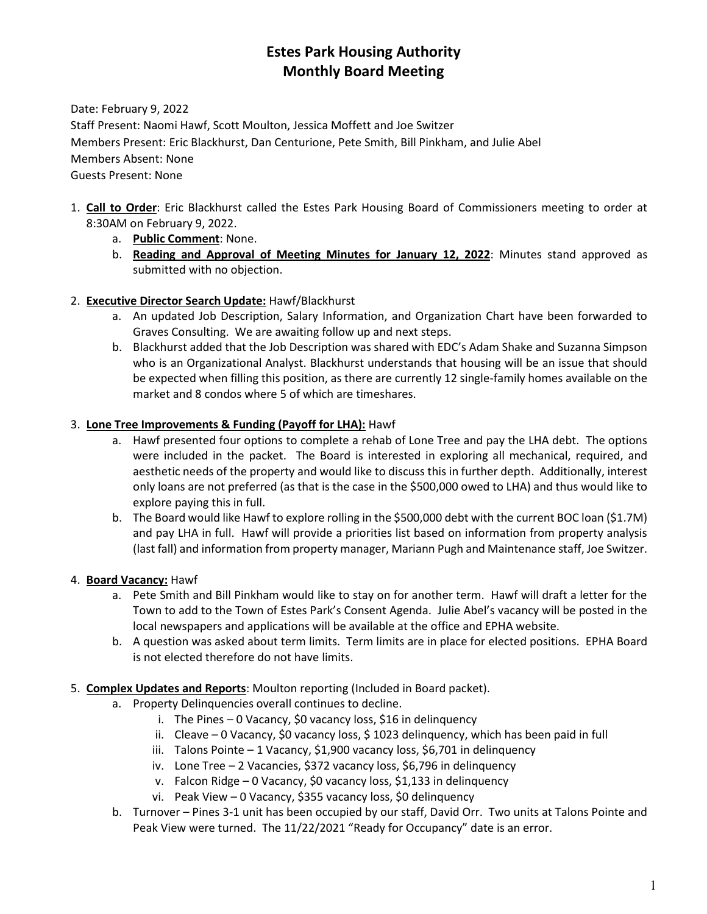# **Estes Park Housing Authority Monthly Board Meeting**

Date: February 9, 2022

Staff Present: Naomi Hawf, Scott Moulton, Jessica Moffett and Joe Switzer Members Present: Eric Blackhurst, Dan Centurione, Pete Smith, Bill Pinkham, and Julie Abel Members Absent: None Guests Present: None

- 1. **Call to Order**: Eric Blackhurst called the Estes Park Housing Board of Commissioners meeting to order at 8:30AM on February 9, 2022.
	- a. **Public Comment**: None.
	- b. **Reading and Approval of Meeting Minutes for January 12, 2022**: Minutes stand approved as submitted with no objection.

## 2. **Executive Director Search Update:** Hawf/Blackhurst

- a. An updated Job Description, Salary Information, and Organization Chart have been forwarded to Graves Consulting. We are awaiting follow up and next steps.
- b. Blackhurst added that the Job Description was shared with EDC's Adam Shake and Suzanna Simpson who is an Organizational Analyst. Blackhurst understands that housing will be an issue that should be expected when filling this position, as there are currently 12 single-family homes available on the market and 8 condos where 5 of which are timeshares.

## 3. **Lone Tree Improvements & Funding (Payoff for LHA):** Hawf

- a. Hawf presented four options to complete a rehab of Lone Tree and pay the LHA debt. The options were included in the packet. The Board is interested in exploring all mechanical, required, and aesthetic needs of the property and would like to discuss this in further depth. Additionally, interest only loans are not preferred (as that is the case in the \$500,000 owed to LHA) and thus would like to explore paying this in full.
- b. The Board would like Hawf to explore rolling in the \$500,000 debt with the current BOC loan (\$1.7M) and pay LHA in full. Hawf will provide a priorities list based on information from property analysis (last fall) and information from property manager, Mariann Pugh and Maintenance staff, Joe Switzer.

### 4. **Board Vacancy:** Hawf

- a. Pete Smith and Bill Pinkham would like to stay on for another term. Hawf will draft a letter for the Town to add to the Town of Estes Park's Consent Agenda. Julie Abel's vacancy will be posted in the local newspapers and applications will be available at the office and EPHA website.
- b. A question was asked about term limits. Term limits are in place for elected positions. EPHA Board is not elected therefore do not have limits.
- 5. **Complex Updates and Reports**: Moulton reporting (Included in Board packet).
	- a. Property Delinquencies overall continues to decline.
		- i. The Pines 0 Vacancy, \$0 vacancy loss, \$16 in delinquency
		- ii. Cleave 0 Vacancy, \$0 vacancy loss, \$ 1023 delinquency, which has been paid in full
		- iii. Talons Pointe 1 Vacancy, \$1,900 vacancy loss, \$6,701 in delinquency
		- iv. Lone Tree 2 Vacancies, \$372 vacancy loss, \$6,796 in delinquency
		- v. Falcon Ridge 0 Vacancy, \$0 vacancy loss, \$1,133 in delinquency
		- vi. Peak View 0 Vacancy, \$355 vacancy loss, \$0 delinquency
	- b. Turnover Pines 3-1 unit has been occupied by our staff, David Orr. Two units at Talons Pointe and Peak View were turned. The 11/22/2021 "Ready for Occupancy" date is an error.